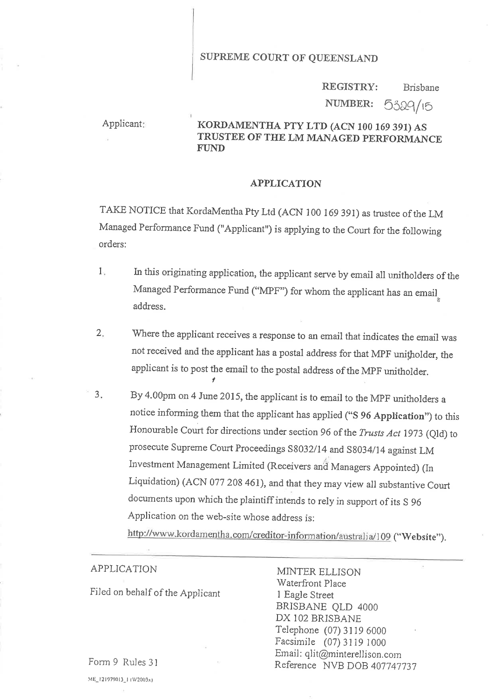# SUPREME COURT OF QUEENSLAND

#### Brisbane NUMBER: 5329/15 REGISTRY:

# Applicant: KORDAMENTHA PTY LTD (ACN 100 169 391) AS TRUSTEE OF'THE LM MANAGED PERFORMANCE FUND

#### APPLICATION

TAKE NOTICE that KordaMentha Pty Ltd (ACN 100 169 391) as trustee of the LM Managed Performance Fund ("Applicant") is applying to the Court for the following orders:

- In this originating application, the applicant serve by email all unitholders of the Managed Performance Fund ("MPF") for whom the applicant has an email address. 1
- 'Where the applicant receives a response to an email that indicates the email was not received and the applicant has a postal address for that MPF unitholder, the applicant is to post the email to the postal address of the MpF unitholder. I 2
- By 4.00pm on 4 June 2015, the applicant is to email to the MPF unitholders a notice informing them that the applicant has applied ("S 96 Application") to this Honourable Court for directions under section 96 of the Trusts Act 1973 (Qld) to prosecute Supreme Court Proceedings S8032/14 and S8034/14 against LM Investment Management Limited (Receivers and Managers Appointed) (In Liquidation) (ACN 077 208 461), and that they may view all substantive Court documents upon which the plaintiff intends to rely in support of its S <sup>96</sup> Application on the web-site whose address is:  $3<sub>1</sub>$

http://www.kordamentha.com/creditor-information/australia/109 ("Website").

### APPLICATION

Filed on behalf of the Applicant

MINTER ELLISON 'Waterfront Place 1 Eagle Street BRiSBANE QLD <sup>4000</sup> DX 102 BRISBANE Telephone (07) 3119 6000 Facsimile (07) 3119 1000 Email: qlit@minterellison.com Reference NVB DOB 407747737

Form 9 Rules 3l

 $ME_1 2 1979013_1 (W2003x)$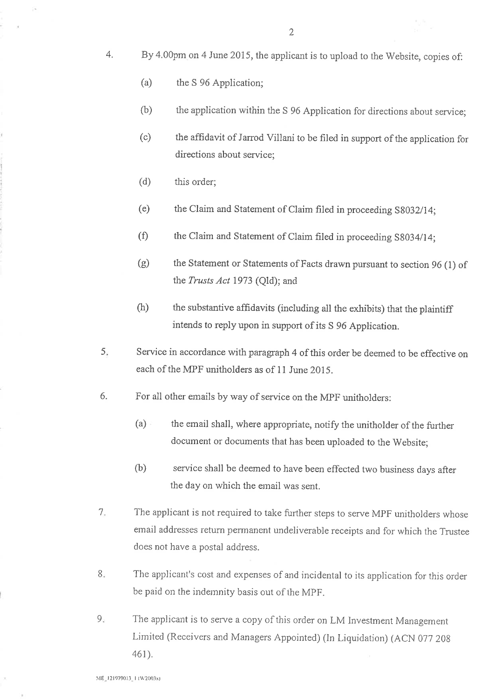- 4. By 4.00pm on 4 June 2075, the applicant is to upload to the Website, copies of:
	- (a) the S 96 Application;
	- (b) the application within the S 96 Application for directions about service;
	- (c) the affidavit of Jarrod villani to be filed in support of the application for directions about service;
	- (d) this order;
	- (e) the claim and statement of claim filed in proceeding s8032114;
	- (f) the Claim and Statement of Claim filed in proceeding S8034/14;
	- the Statement or Statements of Facts drawn pursuant to section 96 (l) of the Trusts Act 1973 (Old); and (e)
	- the substantive affidavits (including all the exhibits) that the plaintiff intends to reply upon in support of its S 96 Application. (h)
- Service in accordance with paragraph 4 of this order be deemed to be effective on each of the MPF unitholders as of 11 June 2015. 5
- 6. For all other emails by way of service on the MpF unitholders:
	- (a) the email shall, where appropriate, notify the unitholder of the further document or documents that has been uploaded to the Website;
	- (b) service shall be deemed to have been effected two business days after the day on which the email was sent.
- The applicant is not required to take further steps to serve MPF unitholders whose email addresses return permanent undeliverable receipts and for which the Trustee does not have a postal address. '7
- The applicant's cost and expenses of and jncidental to its application for this order be paid on the indemnity basis out of the MPF. o o
- The applicant is to serve a copy of this order on LM Investment Management Limited (Receivers and Managers Appointed) (ln Liquidation) (ACN 077 209 461).  $9.$